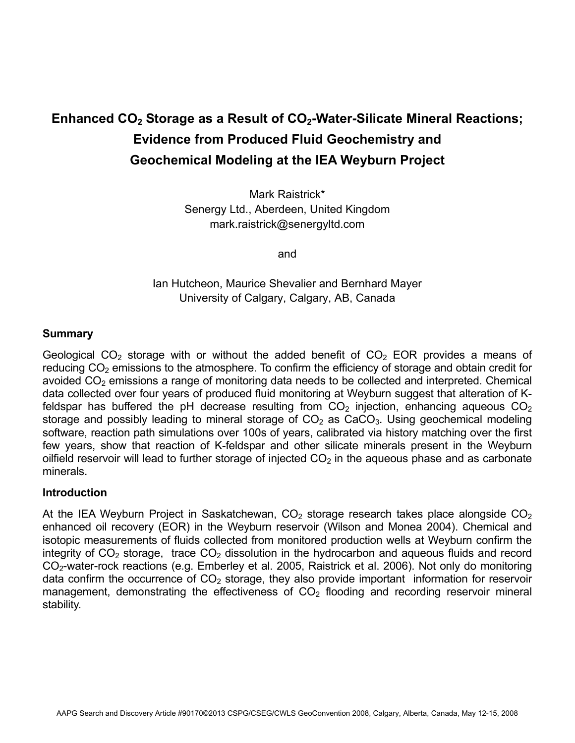# **Enhanced CO<sub>2</sub> Storage as a Result of CO<sub>2</sub>-Water-Silicate Mineral Reactions; Evidence from Produced Fluid Geochemistry and Geochemical Modeling at the IEA Weyburn Project**

Mark Raistrick\* Senergy Ltd., Aberdeen, United Kingdom mark.raistrick@senergyltd.com

and

## Ian Hutcheon, Maurice Shevalier and Bernhard Mayer University of Calgary, Calgary, AB, Canada

#### **Summary**

Geological CO<sub>2</sub> storage with or without the added benefit of CO<sub>2</sub> EOR provides a means of reducing  $CO<sub>2</sub>$  emissions to the atmosphere. To confirm the efficiency of storage and obtain credit for avoided  $CO<sub>2</sub>$  emissions a range of monitoring data needs to be collected and interpreted. Chemical data collected over four years of produced fluid monitoring at Weyburn suggest that alteration of Kfeldspar has buffered the pH decrease resulting from  $CO<sub>2</sub>$  injection, enhancing aqueous  $CO<sub>2</sub>$ storage and possibly leading to mineral storage of  $CO<sub>2</sub>$  as  $CaCO<sub>3</sub>$ . Using geochemical modeling software, reaction path simulations over 100s of years, calibrated via history matching over the first few years, show that reaction of K-feldspar and other silicate minerals present in the Weyburn oilfield reservoir will lead to further storage of injected  $CO<sub>2</sub>$  in the aqueous phase and as carbonate minerals.

### **Introduction**

At the IEA Weyburn Project in Saskatchewan,  $CO<sub>2</sub>$  storage research takes place alongside  $CO<sub>2</sub>$ enhanced oil recovery (EOR) in the Weyburn reservoir (Wilson and Monea 2004). Chemical and isotopic measurements of fluids collected from monitored production wells at Weyburn confirm the integrity of  $CO<sub>2</sub>$  storage, trace  $CO<sub>2</sub>$  dissolution in the hydrocarbon and aqueous fluids and record CO<sub>2</sub>-water-rock reactions (e.g. Emberley et al. 2005, Raistrick et al. 2006). Not only do monitoring data confirm the occurrence of  $CO<sub>2</sub>$  storage, they also provide important information for reservoir management, demonstrating the effectiveness of  $CO<sub>2</sub>$  flooding and recording reservoir mineral stability.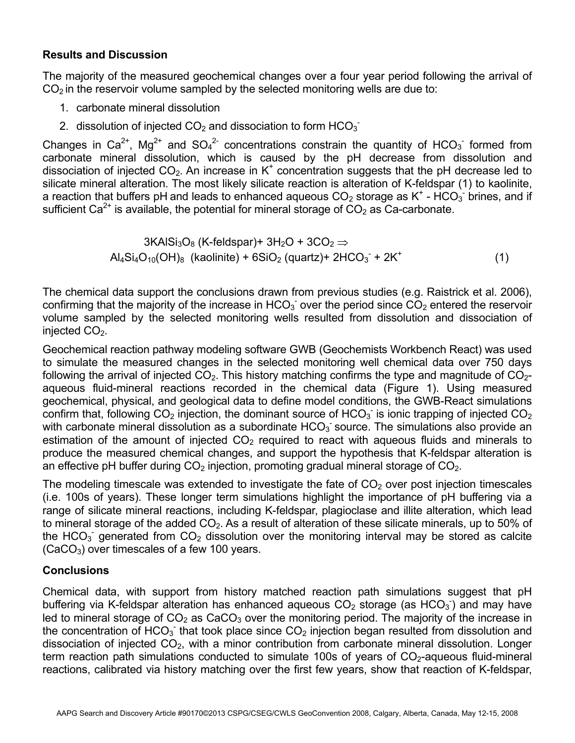### **Results and Discussion**

The majority of the measured geochemical changes over a four year period following the arrival of  $CO<sub>2</sub>$  in the reservoir volume sampled by the selected monitoring wells are due to:

- 1. carbonate mineral dissolution
- 2. dissolution of injected  $CO<sub>2</sub>$  and dissociation to form  $HCO<sub>3</sub>$ <sup>-</sup>

Changes in Ca<sup>2+</sup>, Mg<sup>2+</sup> and SO<sub>4</sub><sup>2-</sup> concentrations constrain the quantity of HCO<sub>3</sub> formed from carbonate mineral dissolution, which is caused by the pH decrease from dissolution and dissociation of injected  $CO<sub>2</sub>$ . An increase in K<sup>+</sup> concentration suggests that the pH decrease led to silicate mineral alteration. The most likely silicate reaction is alteration of K-feldspar (1) to kaolinite, a reaction that buffers pH and leads to enhanced aqueous  $CO_2$  storage as K<sup>+</sup> - HCO<sub>3</sub> brines, and if sufficient  $Ca^{2+}$  is available, the potential for mineral storage of  $CO<sub>2</sub>$  as Ca-carbonate.

$$
3KAISi3O8 (K-fieldspar)+ 3H2O + 3CO2 \Rightarrow
$$
  
Al<sub>4</sub>Si<sub>4</sub>O<sub>10</sub>(OH)<sub>8</sub> (kaolinite) + 6SiO<sub>2</sub> (quartz)+ 2HCO<sub>3</sub><sup>-</sup> + 2K<sup>+</sup> (1)

The chemical data support the conclusions drawn from previous studies (e.g. Raistrick et al. 2006), confirming that the majority of the increase in HCO<sub>3</sub> over the period since  $CO<sub>2</sub>$  entered the reservoir volume sampled by the selected monitoring wells resulted from dissolution and dissociation of injected  $CO<sub>2</sub>$ .

Geochemical reaction pathway modeling software GWB (Geochemists Workbench React) was used to simulate the measured changes in the selected monitoring well chemical data over 750 days following the arrival of injected  $CO<sub>2</sub>$ . This history matching confirms the type and magnitude of  $CO<sub>2</sub>$ aqueous fluid-mineral reactions recorded in the chemical data (Figure 1). Using measured geochemical, physical, and geological data to define model conditions, the GWB-React simulations confirm that, following CO<sub>2</sub> injection, the dominant source of HCO<sub>3</sub> is ionic trapping of injected CO<sub>2</sub> with carbonate mineral dissolution as a subordinate  $HCO<sub>3</sub>$  source. The simulations also provide an estimation of the amount of injected  $CO<sub>2</sub>$  required to react with aqueous fluids and minerals to produce the measured chemical changes, and support the hypothesis that K-feldspar alteration is an effective pH buffer during  $CO<sub>2</sub>$  injection, promoting gradual mineral storage of  $CO<sub>2</sub>$ .

The modeling timescale was extended to investigate the fate of  $CO<sub>2</sub>$  over post injection timescales (i.e. 100s of years). These longer term simulations highlight the importance of pH buffering via a range of silicate mineral reactions, including K-feldspar, plagioclase and illite alteration, which lead to mineral storage of the added  $CO<sub>2</sub>$ . As a result of alteration of these silicate minerals, up to 50% of the HCO<sub>3</sub> generated from CO<sub>2</sub> dissolution over the monitoring interval may be stored as calcite  $(CaCO<sub>3</sub>)$  over timescales of a few 100 years.

### **Conclusions**

Chemical data, with support from history matched reaction path simulations suggest that pH buffering via K-feldspar alteration has enhanced aqueous  $CO<sub>2</sub>$  storage (as  $HCO<sub>3</sub>$ ) and may have led to mineral storage of  $CO<sub>2</sub>$  as CaCO<sub>3</sub> over the monitoring period. The majority of the increase in the concentration of HCO<sub>3</sub> that took place since CO<sub>2</sub> injection began resulted from dissolution and dissociation of injected  $CO<sub>2</sub>$ , with a minor contribution from carbonate mineral dissolution. Longer term reaction path simulations conducted to simulate 100s of years of  $CO<sub>2</sub>$ -aqueous fluid-mineral reactions, calibrated via history matching over the first few years, show that reaction of K-feldspar,